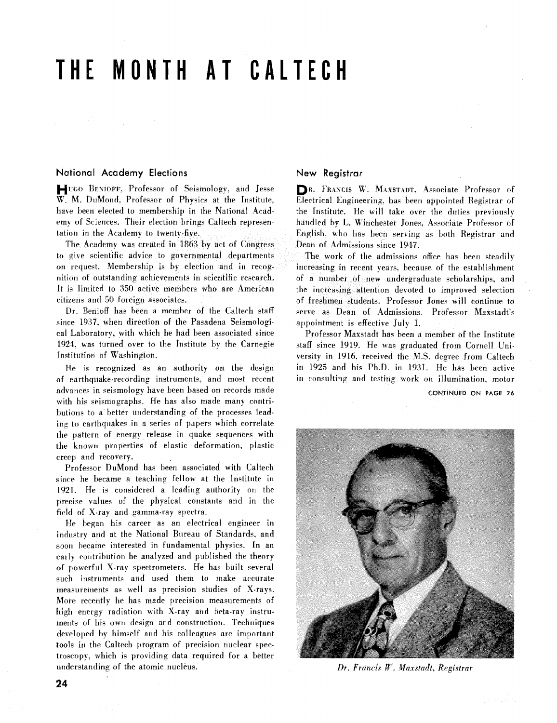# THE **MONTH AT CALTECH**

# National Academy Elections New Registrar

HIT UGO BENIOFF, Professor of Seismology, and Jesse **DR. FRANCIS W. MAXSTADT, Associate Professor of W. M. DuMond, Professor of Physics at the Institute. Electrical Engineering, has been appointed Registrar of** 

The Academy was created in 1863 by act of Congress Dean of Admissions since 1947. to give scientific advice to governmental departments . The work of the admissions office has been steadily on request. Membership is by election and in recog- increasing in recent years. because of the establishment nition of outstanding achievements in scientific research. of a number of new undergraduate scholarships, and<br>It is limited to 350 active members who are American the increasing attention devoted to improved selection It is limited to 350 active members who are American the increasing attention devoted to improved selection citizens and 50 foreign associates. <br>
of freshmen students. Professor Jones will continue to

since 1937, when direction of the Pasadena Seismologi appointment is effective July 1.<br>
cal Laboratory, with which he had been associated since Professor Maxstadt has been a 1924, was turned over to the Institute by the Carnegie staff since 1919. He was graduated from Cornell Uni-<br>Institution of Washington. This versity in 1916, received the M.S. degree from Caltech

of earthquake-recording instruments and most recent in consulting and testing work on illumination. motor advances in seismology have been based on records made CONTINUED ON PAGE 26 with his seismographs. He has also made many contributions to a better understanding of the processes leading to earthquakes in a series of papers which correlate the pattern of energy release in quake sequences with the known properties of elastic deformation, plastic creep and recovery.

Professor DuMond has been associated with Caltech since he became a teaching fellow at the Institute in 1921. He is considered a leading authority on the precise values of the physical constants and in the field of X-ray and gamma-ray spectra.

He began his career as an electrical engineer in industry and at the National Bureau of Standards, and soon became interested in fundamental physics. In an early contribution he analyzed and published the theory of powerful X-ray spectrometers. He has built several such instruments and used them to make accurate measurements as well as precision studies of X-rays. More recently he has made precision measurements of high energy radiation with X-ray and beta-ray instruments of his own design and construction. Techniques developed by himself and his colleagues are important tools in the Caltech program of precision nuclear spectroscopy, which is providing data required for a better understanding of the atomic nucleus.

Electrical Engineering, has been appointed Registrar of have been elected to membership in the National Acad-<br>the Institute. He will take over the duties previously erny of Sciences. Their election brings Caltech represen- handled by **1,.** Winchester Jones. Associate Professor of tation in the Academy to twenty-five. English. Who has been serving as both Registrar and

of freshmen students. Professor Jones will continue to Dr. Benioff has been a member of the Caltech staff serve as Dean of Admissions. Professor Maxstadt's

Professor Maxstadt has been a member of the Institute versity in 1916, received the M.S. degree from Caltech He is recognized as an authority on the design in 1925 and his Ph.D. in 1931. He has been active



*Dr. Francis W. Maxstadt, Registrar*